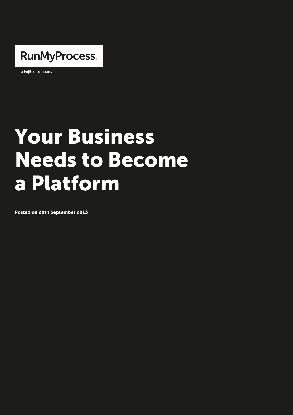

a Fujitsu company

## Your Business Needs to Become a Platform

Posted on 29th September 2013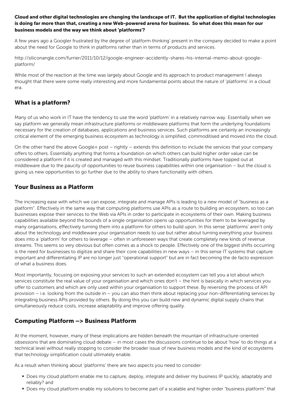is doing far more than that, creating a new Web-powered arena for business. So what does this mean for our business models and the way we think about platforms ?

A few years ago a Googler frustrated by the degree of platform thinking present in about the need for Google to think in platforms rather than in terms of products and

http://siliconangle.com/furrier/2011/10/12/google-engineer-accidently-shares-his-inte platform/

While most of the reaction at the time was largely about Google and its approach to [thought that there were some really interesting and more fundamental poi](http://siliconangle.com/furrier/2011/10/12/google-engineer-accidently-shares-his-internal-memo-about-google-platform/)nts about the nature of platforms in a [era.](http://siliconangle.com/furrier/2011/10/12/google-engineer-accidently-shares-his-internal-memo-about-google-platform/)

## What is a platform?

Many of us who work in IT have the tendency to use the word platform in a relative say platform we generally mean infrastructure platforms or middleware platforms tha necessary for the creation of databases, applications and business services. Such pl critical element of the emerging business ecosystem as technology is simplified, com

On the other hand the above Google+ post rightly extends this definition to includ offers to others. Essentially anything that forms a foundation on which others can bu considered a platform if it is created and managed with this mindset. Traditionally p middleware due to the paucity of opportunities to reuse business capabilities within giving us new opportunities to go further due to the ability to share functionality wit

## Your Business as a Platform

The increasing ease with which we can expose, integrate and manage APIs is leading platform . Effectively in the same way that computing platforms use APIs as a route businesses expose their services to the Web via APIs in order to participate in ecosy capabilities available beyond the bounds of a single organisation opens up opportuni many organisations, effectively turning them into a platform for others to build upon about the technology and middleware your organisation needs to use but rather abou does into a platform for others to leverage often in unforeseen ways that create c streams. This seems so very obvious but often comes as a shock to people. Effective is the need for businesses to digitize and share their core capabilities in new ways important and differentiating IP are no longer just operational support but are in fa of what a business does.

Most importantly, focusing on exposing your services to such an extended ecosystem services constitute the real value of your organisation and which ones don t the hint offer to customers and which are only used within your organisation to support these provision i.e. looking from the outside in you can also then think about replacing integrating business APIs provided by others. By doing this you can build new and d' simultaneously reduce costs, increase adaptability and improve offering quality.

## Computing Platform > Business Platform

At the moment, however, many of these implications are hidden beneath the mountair obsessions that are dominating cloud debate in most cases the discussions continu technical level without really stopping to consider the broader issue of new business that technology simplification could ultimately enable.

As a result when thinking about platforms there are two aspects you need to consid

- Does my cloud platform enable me to capture, deploy, integrate and deliver my be reliably? and
- Does my cloud platform enable my solutions to become part of a scalable and hig